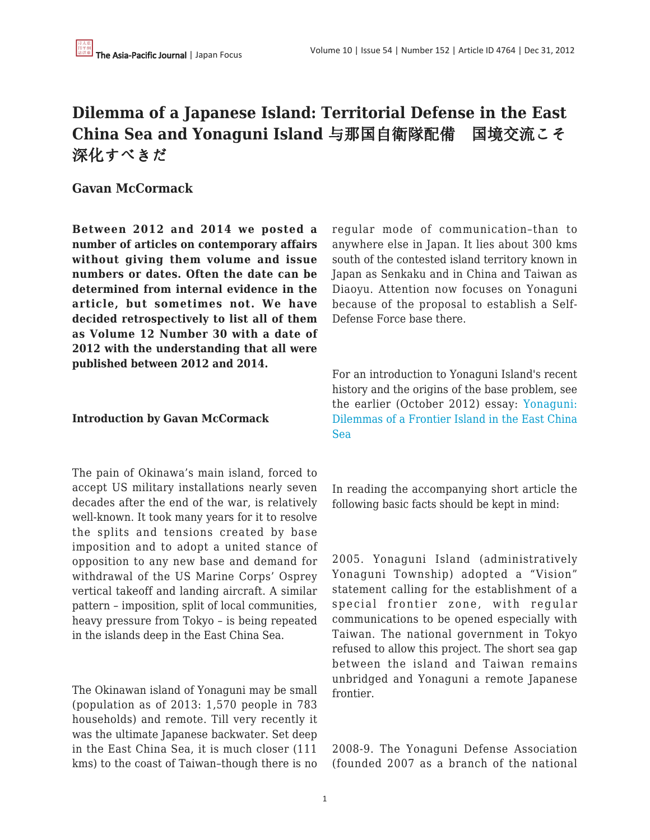## **Dilemma of a Japanese Island: Territorial Defense in the East China Sea and Yonaguni Island** 与那国自衛隊配備 国境交流こそ 深化すべきだ

## **Gavan McCormack**

**Between 2012 and 2014 we posted a number of articles on contemporary affairs without giving them volume and issue numbers or dates. Often the date can be determined from internal evidence in the article, but sometimes not. We have decided retrospectively to list all of them as Volume 12 Number 30 with a date of 2012 with the understanding that all were published between 2012 and 2014.**

## **Introduction by Gavan McCormack**

The pain of Okinawa's main island, forced to accept US military installations nearly seven decades after the end of the war, is relatively well-known. It took many years for it to resolve the splits and tensions created by base imposition and to adopt a united stance of opposition to any new base and demand for withdrawal of the US Marine Corps' Osprey vertical takeoff and landing aircraft. A similar pattern – imposition, split of local communities, heavy pressure from Tokyo – is being repeated in the islands deep in the East China Sea.

The Okinawan island of Yonaguni may be small (population as of 2013: 1,570 people in 783 households) and remote. Till very recently it was the ultimate Japanese backwater. Set deep in the East China Sea, it is much closer (111 kms) to the coast of Taiwan–though there is no regular mode of communication–than to anywhere else in Japan. It lies about 300 kms south of the contested island territory known in Japan as Senkaku and in China and Taiwan as Diaoyu. Attention now focuses on Yonaguni because of the proposal to establish a Self-Defense Force base there.

For an introduction to Yonaguni Island's recent history and the origins of the base problem, see the earlier (October 2012) essay: [Yonaguni:](http://japanfocus.org/-Gavan-McCormack/3837) [Dilemmas of a Frontier Island in the East China](http://japanfocus.org/-Gavan-McCormack/3837) [Sea](http://japanfocus.org/-Gavan-McCormack/3837)

In reading the accompanying short article the following basic facts should be kept in mind:

2005. Yonaguni Island (administratively Yonaguni Township) adopted a "Vision" statement calling for the establishment of a special frontier zone, with regular communications to be opened especially with Taiwan. The national government in Tokyo refused to allow this project. The short sea gap between the island and Taiwan remains unbridged and Yonaguni a remote Japanese frontier.

2008-9. The Yonaguni Defense Association (founded 2007 as a branch of the national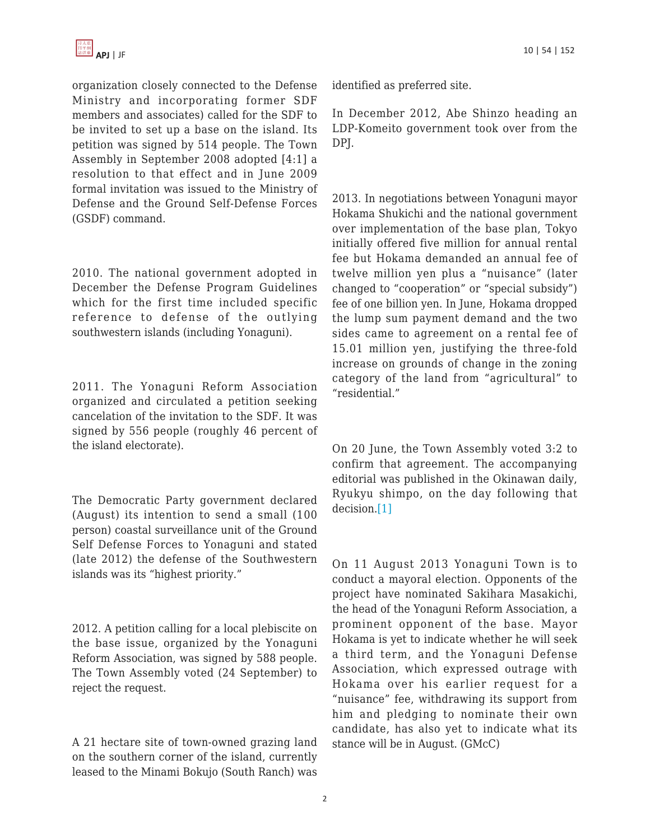

organization closely connected to the Defense Ministry and incorporating former SDF members and associates) called for the SDF to be invited to set up a base on the island. Its petition was signed by 514 people. The Town Assembly in September 2008 adopted [4:1] a resolution to that effect and in June 2009 formal invitation was issued to the Ministry of Defense and the Ground Self-Defense Forces (GSDF) command.

2010. The national government adopted in December the Defense Program Guidelines which for the first time included specific reference to defense of the outlying southwestern islands (including Yonaguni).

2011. The Yonaguni Reform Association organized and circulated a petition seeking cancelation of the invitation to the SDF. It was signed by 556 people (roughly 46 percent of the island electorate).

The Democratic Party government declared (August) its intention to send a small (100 person) coastal surveillance unit of the Ground Self Defense Forces to Yonaguni and stated (late 2012) the defense of the Southwestern islands was its "highest priority."

2012. A petition calling for a local plebiscite on the base issue, organized by the Yonaguni Reform Association, was signed by 588 people. The Town Assembly voted (24 September) to reject the request.

A 21 hectare site of town-owned grazing land on the southern corner of the island, currently leased to the Minami Bokujo (South Ranch) was identified as preferred site.

In December 2012, Abe Shinzo heading an LDP-Komeito government took over from the DPJ.

2013. In negotiations between Yonaguni mayor Hokama Shukichi and the national government over implementation of the base plan, Tokyo initially offered five million for annual rental fee but Hokama demanded an annual fee of twelve million yen plus a "nuisance" (later changed to "cooperation" or "special subsidy") fee of one billion yen. In June, Hokama dropped the lump sum payment demand and the two sides came to agreement on a rental fee of 15.01 million yen, justifying the three-fold increase on grounds of change in the zoning category of the land from "agricultural" to "residential."

On 20 June, the Town Assembly voted 3:2 to confirm that agreement. The accompanying editorial was published in the Okinawan daily, Ryukyu shimpo, on the day following that decision.[\[1\]](file:///C:/Users/Adminb/Downloads/Yonaguni%20-%20SDF%20deployment%20(RS).docx#_ftn1)

On 11 August 2013 Yonaguni Town is to conduct a mayoral election. Opponents of the project have nominated Sakihara Masakichi, the head of the Yonaguni Reform Association, a prominent opponent of the base. Mayor Hokama is yet to indicate whether he will seek a third term, and the Yonaguni Defense Association, which expressed outrage with Hokama over his earlier request for a "nuisance" fee, withdrawing its support from him and pledging to nominate their own candidate, has also yet to indicate what its stance will be in August. (GMcC)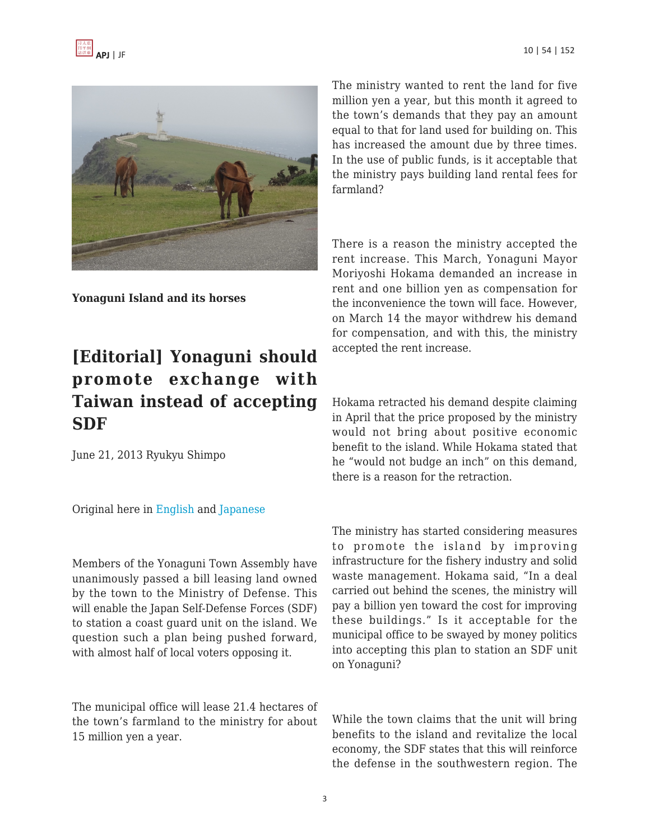



**Yonaguni Island and its horses**

## **[Editorial] Yonaguni should promote exchange with Taiwan instead of accepting SDF**

June 21, 2013 Ryukyu Shimpo

Original here in [English](http://english.ryukyushimpo.jp/2013/06/28/10691/) and [Japanese](http://ryukyushimpo.jp/news/storyid-208289-storytopic-11.html)

Members of the Yonaguni Town Assembly have unanimously passed a bill leasing land owned by the town to the Ministry of Defense. This will enable the Japan Self-Defense Forces (SDF) to station a coast guard unit on the island. We question such a plan being pushed forward, with almost half of local voters opposing it.

The municipal office will lease 21.4 hectares of the town's farmland to the ministry for about 15 million yen a year.

The ministry wanted to rent the land for five million yen a year, but this month it agreed to the town's demands that they pay an amount equal to that for land used for building on. This has increased the amount due by three times. In the use of public funds, is it acceptable that the ministry pays building land rental fees for farmland?

There is a reason the ministry accepted the rent increase. This March, Yonaguni Mayor Moriyoshi Hokama demanded an increase in rent and one billion yen as compensation for the inconvenience the town will face. However, on March 14 the mayor withdrew his demand for compensation, and with this, the ministry accepted the rent increase.

Hokama retracted his demand despite claiming in April that the price proposed by the ministry would not bring about positive economic benefit to the island. While Hokama stated that he "would not budge an inch" on this demand, there is a reason for the retraction.

The ministry has started considering measures to promote the island by improving infrastructure for the fishery industry and solid waste management. Hokama said, "In a deal carried out behind the scenes, the ministry will pay a billion yen toward the cost for improving these buildings." Is it acceptable for the municipal office to be swayed by money politics into accepting this plan to station an SDF unit on Yonaguni?

While the town claims that the unit will bring benefits to the island and revitalize the local economy, the SDF states that this will reinforce the defense in the southwestern region. The